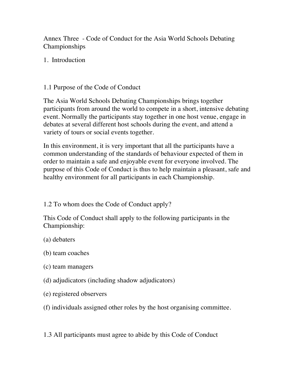Annex Three - Code of Conduct for the Asia World Schools Debating Championships

1. Introduction

## 1.1 Purpose of the Code of Conduct

The Asia World Schools Debating Championships brings together participants from around the world to compete in a short, intensive debating event. Normally the participants stay together in one host venue, engage in debates at several different host schools during the event, and attend a variety of tours or social events together.

In this environment, it is very important that all the participants have a common understanding of the standards of behaviour expected of them in order to maintain a safe and enjoyable event for everyone involved. The purpose of this Code of Conduct is thus to help maintain a pleasant, safe and healthy environment for all participants in each Championship.

1.2 To whom does the Code of Conduct apply?

This Code of Conduct shall apply to the following participants in the Championship:

- (a) debaters
- (b) team coaches
- (c) team managers
- (d) adjudicators (including shadow adjudicators)
- (e) registered observers
- (f) individuals assigned other roles by the host organising committee.

1.3 All participants must agree to abide by this Code of Conduct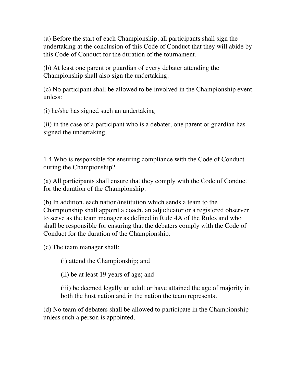(a) Before the start of each Championship, all participants shall sign the undertaking at the conclusion of this Code of Conduct that they will abide by this Code of Conduct for the duration of the tournament.

(b) At least one parent or guardian of every debater attending the Championship shall also sign the undertaking.

(c) No participant shall be allowed to be involved in the Championship event unless:

(i) he/she has signed such an undertaking

(ii) in the case of a participant who is a debater, one parent or guardian has signed the undertaking.

1.4 Who is responsible for ensuring compliance with the Code of Conduct during the Championship?

(a) All participants shall ensure that they comply with the Code of Conduct for the duration of the Championship.

(b) In addition, each nation/institution which sends a team to the Championship shall appoint a coach, an adjudicator or a registered observer to serve as the team manager as defined in Rule 4A of the Rules and who shall be responsible for ensuring that the debaters comply with the Code of Conduct for the duration of the Championship.

(c) The team manager shall:

(i) attend the Championship; and

(ii) be at least 19 years of age; and

(iii) be deemed legally an adult or have attained the age of majority in both the host nation and in the nation the team represents.

(d) No team of debaters shall be allowed to participate in the Championship unless such a person is appointed.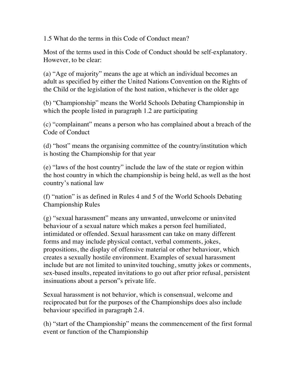1.5 What do the terms in this Code of Conduct mean?

Most of the terms used in this Code of Conduct should be self-explanatory. However, to be clear:

(a) "Age of majority" means the age at which an individual becomes an adult as specified by either the United Nations Convention on the Rights of the Child or the legislation of the host nation, whichever is the older age

(b) "Championship" means the World Schools Debating Championship in which the people listed in paragraph 1.2 are participating

(c) "complainant" means a person who has complained about a breach of the Code of Conduct

(d) "host" means the organising committee of the country/institution which is hosting the Championship for that year

(e) "laws of the host country" include the law of the state or region within the host country in which the championship is being held, as well as the host country's national law

(f) "nation" is as defined in Rules 4 and 5 of the World Schools Debating Championship Rules

(g) "sexual harassment" means any unwanted, unwelcome or uninvited behaviour of a sexual nature which makes a person feel humiliated, intimidated or offended. Sexual harassment can take on many different forms and may include physical contact, verbal comments, jokes, propositions, the display of offensive material or other behaviour, which creates a sexually hostile environment. Examples of sexual harassment include but are not limited to uninvited touching, smutty jokes or comments, sex-based insults, repeated invitations to go out after prior refusal, persistent insinuations about a person"s private life.

Sexual harassment is not behavior, which is consensual, welcome and reciprocated but for the purposes of the Championships does also include behaviour specified in paragraph 2.4.

(h) "start of the Championship" means the commencement of the first formal event or function of the Championship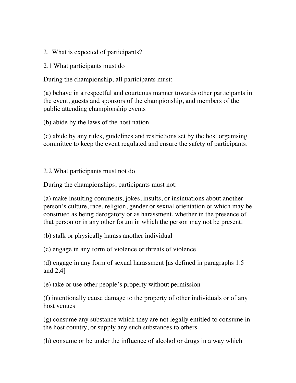- 2. What is expected of participants?
- 2.1 What participants must do

During the championship, all participants must:

(a) behave in a respectful and courteous manner towards other participants in the event, guests and sponsors of the championship, and members of the public attending championship events

(b) abide by the laws of the host nation

(c) abide by any rules, guidelines and restrictions set by the host organising committee to keep the event regulated and ensure the safety of participants.

#### 2.2 What participants must not do

During the championships, participants must not:

(a) make insulting comments, jokes, insults, or insinuations about another person's culture, race, religion, gender or sexual orientation or which may be construed as being derogatory or as harassment, whether in the presence of that person or in any other forum in which the person may not be present.

(b) stalk or physically harass another individual

(c) engage in any form of violence or threats of violence

(d) engage in any form of sexual harassment [as defined in paragraphs 1.5 and 2.4]

(e) take or use other people's property without permission

(f) intentionally cause damage to the property of other individuals or of any host venues

(g) consume any substance which they are not legally entitled to consume in the host country, or supply any such substances to others

(h) consume or be under the influence of alcohol or drugs in a way which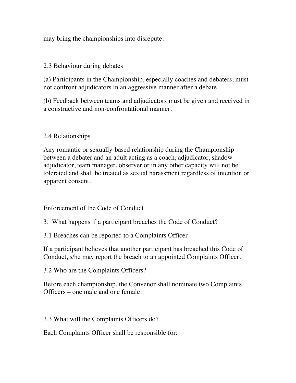may bring the championships into disrepute.

## 2.3 Behaviour during debates

(a) Participants in the Championship, especially coaches and debaters, must not confront adjudicators in an aggressive manner after a debate.

(b) Feedback between teams and adjudicators must be given and received in a constructive and non-confrontational manner.

## 2.4 Relationships

Any romantic or sexually-based relationship during the Championship between a debater and an adult acting as a coach, adjudicator, shadow adjudicator, team manager, observer or in any other capacity will not be tolerated and shall be treated as sexual harassment regardless of intention or apparent consent.

#### Enforcement of the Code of Conduct

- 3. What happens if a participant breaches the Code of Conduct?
- 3.1 Breaches can be reported to a Complaints Officer

If a participant believes that another participant has breached this Code of Conduct, s/he may report the breach to an appointed Complaints Officer.

3.2 Who are the Complaints Officers?

Before each championship, the Convenor shall nominate two Complaints Officers – one male and one female.

3.3 What will the Complaints Officers do?

Each Complaints Officer shall be responsible for: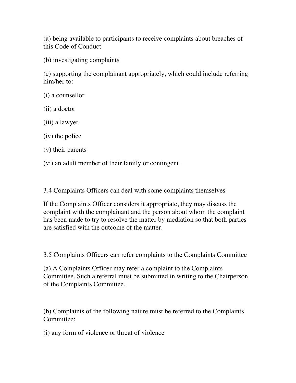(a) being available to participants to receive complaints about breaches of this Code of Conduct

(b) investigating complaints

(c) supporting the complainant appropriately, which could include referring him/her to:

- (i) a counsellor
- (ii) a doctor
- (iii) a lawyer
- (iv) the police
- (v) their parents
- (vi) an adult member of their family or contingent.

3.4 Complaints Officers can deal with some complaints themselves

If the Complaints Officer considers it appropriate, they may discuss the complaint with the complainant and the person about whom the complaint has been made to try to resolve the matter by mediation so that both parties are satisfied with the outcome of the matter.

3.5 Complaints Officers can refer complaints to the Complaints Committee

(a) A Complaints Officer may refer a complaint to the Complaints Committee. Such a referral must be submitted in writing to the Chairperson of the Complaints Committee.

(b) Complaints of the following nature must be referred to the Complaints Committee:

(i) any form of violence or threat of violence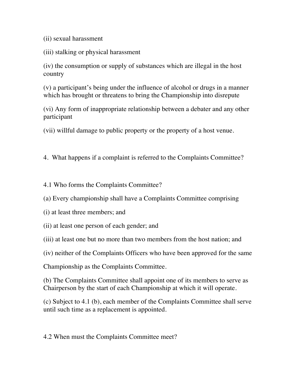(ii) sexual harassment

(iii) stalking or physical harassment

(iv) the consumption or supply of substances which are illegal in the host country

(v) a participant's being under the influence of alcohol or drugs in a manner which has brought or threatens to bring the Championship into disrepute

(vi) Any form of inappropriate relationship between a debater and any other participant

(vii) willful damage to public property or the property of a host venue.

4. What happens if a complaint is referred to the Complaints Committee?

4.1 Who forms the Complaints Committee?

(a) Every championship shall have a Complaints Committee comprising

(i) at least three members; and

(ii) at least one person of each gender; and

(iii) at least one but no more than two members from the host nation; and

(iv) neither of the Complaints Officers who have been approved for the same

Championship as the Complaints Committee.

(b) The Complaints Committee shall appoint one of its members to serve as Chairperson by the start of each Championship at which it will operate.

(c) Subject to 4.1 (b), each member of the Complaints Committee shall serve until such time as a replacement is appointed.

4.2 When must the Complaints Committee meet?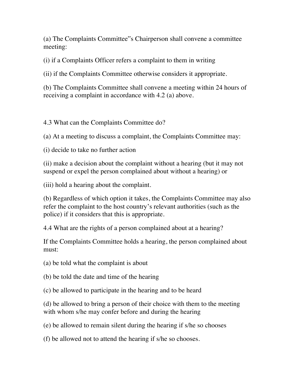(a) The Complaints Committee"s Chairperson shall convene a committee meeting:

(i) if a Complaints Officer refers a complaint to them in writing

(ii) if the Complaints Committee otherwise considers it appropriate.

(b) The Complaints Committee shall convene a meeting within 24 hours of receiving a complaint in accordance with 4.2 (a) above.

4.3 What can the Complaints Committee do?

(a) At a meeting to discuss a complaint, the Complaints Committee may:

(i) decide to take no further action

(ii) make a decision about the complaint without a hearing (but it may not suspend or expel the person complained about without a hearing) or

(iii) hold a hearing about the complaint.

(b) Regardless of which option it takes, the Complaints Committee may also refer the complaint to the host country's relevant authorities (such as the police) if it considers that this is appropriate.

4.4 What are the rights of a person complained about at a hearing?

If the Complaints Committee holds a hearing, the person complained about must:

(a) be told what the complaint is about

(b) be told the date and time of the hearing

(c) be allowed to participate in the hearing and to be heard

(d) be allowed to bring a person of their choice with them to the meeting with whom s/he may confer before and during the hearing

(e) be allowed to remain silent during the hearing if s/he so chooses

(f) be allowed not to attend the hearing if s/he so chooses.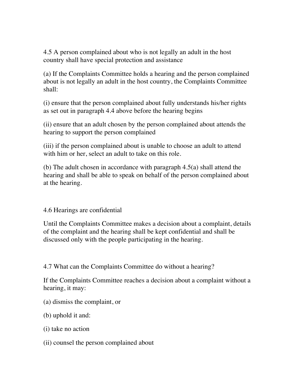4.5 A person complained about who is not legally an adult in the host country shall have special protection and assistance

(a) If the Complaints Committee holds a hearing and the person complained about is not legally an adult in the host country, the Complaints Committee shall:

(i) ensure that the person complained about fully understands his/her rights as set out in paragraph 4.4 above before the hearing begins

(ii) ensure that an adult chosen by the person complained about attends the hearing to support the person complained

(iii) if the person complained about is unable to choose an adult to attend with him or her, select an adult to take on this role.

(b) The adult chosen in accordance with paragraph 4.5(a) shall attend the hearing and shall be able to speak on behalf of the person complained about at the hearing.

4.6 Hearings are confidential

Until the Complaints Committee makes a decision about a complaint, details of the complaint and the hearing shall be kept confidential and shall be discussed only with the people participating in the hearing.

4.7 What can the Complaints Committee do without a hearing?

If the Complaints Committee reaches a decision about a complaint without a hearing, it may:

- (a) dismiss the complaint, or
- (b) uphold it and:
- (i) take no action
- (ii) counsel the person complained about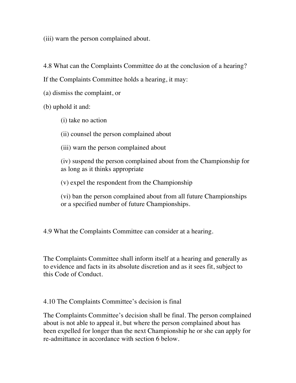(iii) warn the person complained about.

4.8 What can the Complaints Committee do at the conclusion of a hearing?

If the Complaints Committee holds a hearing, it may:

(a) dismiss the complaint, or

(b) uphold it and:

(i) take no action

(ii) counsel the person complained about

(iii) warn the person complained about

(iv) suspend the person complained about from the Championship for as long as it thinks appropriate

(v) expel the respondent from the Championship

(vi) ban the person complained about from all future Championships or a specified number of future Championships.

4.9 What the Complaints Committee can consider at a hearing.

The Complaints Committee shall inform itself at a hearing and generally as to evidence and facts in its absolute discretion and as it sees fit, subject to this Code of Conduct.

4.10 The Complaints Committee's decision is final

The Complaints Committee's decision shall be final. The person complained about is not able to appeal it, but where the person complained about has been expelled for longer than the next Championship he or she can apply for re-admittance in accordance with section 6 below.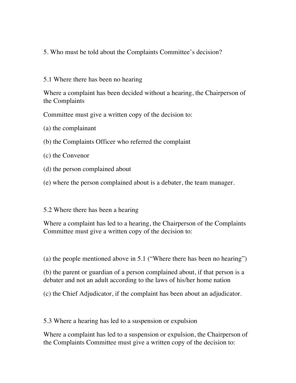- 5. Who must be told about the Complaints Committee's decision?
- 5.1 Where there has been no hearing

Where a complaint has been decided without a hearing, the Chairperson of the Complaints

Committee must give a written copy of the decision to:

- (a) the complainant
- (b) the Complaints Officer who referred the complaint
- (c) the Convenor
- (d) the person complained about
- (e) where the person complained about is a debater, the team manager.
- 5.2 Where there has been a hearing

Where a complaint has led to a hearing, the Chairperson of the Complaints Committee must give a written copy of the decision to:

(a) the people mentioned above in 5.1 ("Where there has been no hearing")

(b) the parent or guardian of a person complained about, if that person is a debater and not an adult according to the laws of his/her home nation

(c) the Chief Adjudicator, if the complaint has been about an adjudicator.

5.3 Where a hearing has led to a suspension or expulsion

Where a complaint has led to a suspension or expulsion, the Chairperson of the Complaints Committee must give a written copy of the decision to: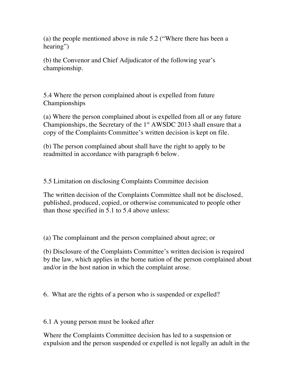(a) the people mentioned above in rule 5.2 ("Where there has been a hearing")

(b) the Convenor and Chief Adjudicator of the following year's championship.

5.4 Where the person complained about is expelled from future Championships

(a) Where the person complained about is expelled from all or any future Championships, the Secretary of the  $1<sup>st</sup> AWSDC 2013$  shall ensure that a copy of the Complaints Committee's written decision is kept on file.

(b) The person complained about shall have the right to apply to be readmitted in accordance with paragraph 6 below.

5.5 Limitation on disclosing Complaints Committee decision

The written decision of the Complaints Committee shall not be disclosed, published, produced, copied, or otherwise communicated to people other than those specified in 5.1 to 5.4 above unless:

(a) The complainant and the person complained about agree; or

(b) Disclosure of the Complaints Committee's written decision is required by the law, which applies in the home nation of the person complained about and/or in the host nation in which the complaint arose.

6. What are the rights of a person who is suspended or expelled?

6.1 A young person must be looked after

Where the Complaints Committee decision has led to a suspension or expulsion and the person suspended or expelled is not legally an adult in the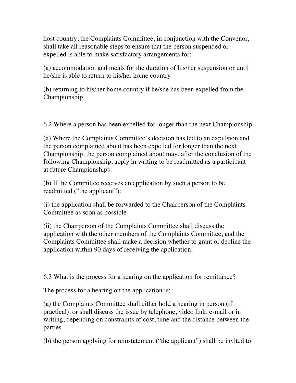host country, the Complaints Committee, in conjunction with the Convenor, shall take all reasonable steps to ensure that the person suspended or expelled is able to make satisfactory arrangements for:

(a) accommodation and meals for the duration of his/her suspension or until he/she is able to return to his/her home country

(b) returning to his/her home country if he/she has been expelled from the Championship.

6.2 Where a person has been expelled for longer than the next Championship

(a) Where the Complaints Committee's decision has led to an expulsion and the person complained about has been expelled for longer than the next Championship, the person complained about may, after the conclusion of the following Championship, apply in writing to be readmitted as a participant at future Championships.

(b) If the Committee receives an application by such a person to be readmitted ("the applicant"):

(i) the application shall be forwarded to the Chairperson of the Complaints Committee as soon as possible

(ii) the Chairperson of the Complaints Committee shall discuss the application with the other members of the Complaints Committee, and the Complaints Committee shall make a decision whether to grant or decline the application within 90 days of receiving the application.

6.3 What is the process for a hearing on the application for remittance?

The process for a hearing on the application is:

(a) the Complaints Committee shall either hold a hearing in person (if practical), or shall discuss the issue by telephone, video link, e-mail or in writing, depending on constraints of cost, time and the distance between the parties

(b) the person applying for reinstatement ("the applicant") shall be invited to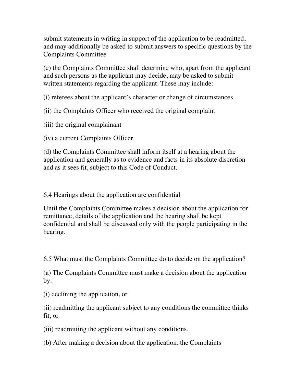submit statements in writing in support of the application to be readmitted, and may additionally be asked to submit answers to specific questions by the Complaints Committee

(c) the Complaints Committee shall determine who, apart from the applicant and such persons as the applicant may decide, may be asked to submit written statements regarding the applicant. These may include:

(i) referees about the applicant's character or change of circumstances

(ii) the Complaints Officer who received the original complaint

(iii) the original complainant

(iv) a current Complaints Officer.

(d) the Complaints Committee shall inform itself at a hearing about the application and generally as to evidence and facts in its absolute discretion and as it sees fit, subject to this Code of Conduct.

6.4 Hearings about the application are confidential

Until the Complaints Committee makes a decision about the application for remittance, details of the application and the hearing shall be kept confidential and shall be discussed only with the people participating in the hearing.

6.5 What must the Complaints Committee do to decide on the application?

(a) The Complaints Committee must make a decision about the application by:

(i) declining the application, or

(ii) readmitting the applicant subject to any conditions the committee thinks fit, or

(iii) readmitting the applicant without any conditions.

(b) After making a decision about the application, the Complaints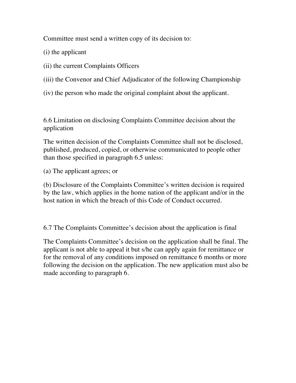Committee must send a written copy of its decision to:

(i) the applicant

(ii) the current Complaints Officers

(iii) the Convenor and Chief Adjudicator of the following Championship

(iv) the person who made the original complaint about the applicant.

6.6 Limitation on disclosing Complaints Committee decision about the application

The written decision of the Complaints Committee shall not be disclosed, published, produced, copied, or otherwise communicated to people other than those specified in paragraph 6.5 unless:

(a) The applicant agrees; or

(b) Disclosure of the Complaints Committee's written decision is required by the law, which applies in the home nation of the applicant and/or in the host nation in which the breach of this Code of Conduct occurred.

6.7 The Complaints Committee's decision about the application is final

The Complaints Committee's decision on the application shall be final. The applicant is not able to appeal it but s/he can apply again for remittance or for the removal of any conditions imposed on remittance 6 months or more following the decision on the application. The new application must also be made according to paragraph 6.